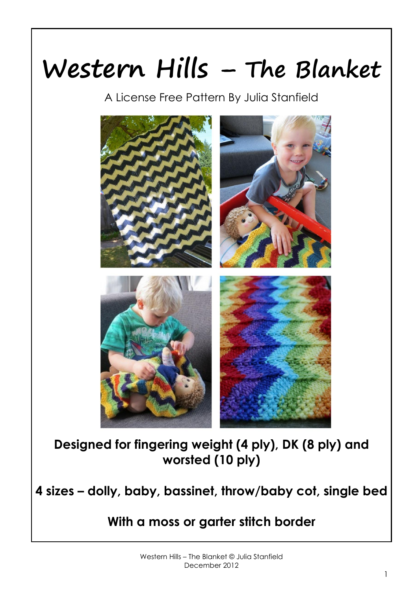# **Western Hills – The Blanket**

A License Free Pattern By Julia Stanfield



**Designed for fingering weight (4 ply), DK (8 ply) and worsted (10 ply)**

**4 sizes – dolly, baby, bassinet, throw/baby cot, single bed**

**With a moss or garter stitch border**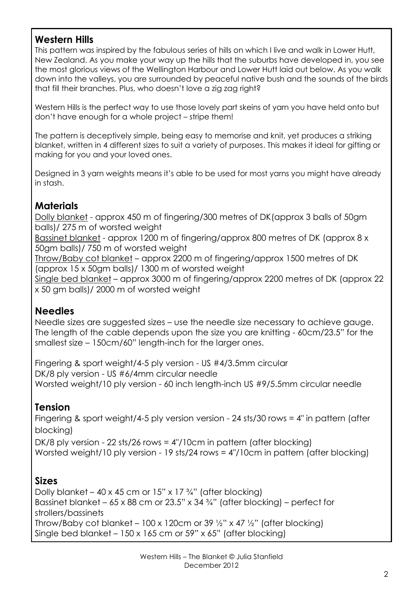## **Western Hills**

This pattern was inspired by the fabulous series of hills on which I live and walk in Lower Hutt, New Zealand. As you make your way up the hills that the suburbs have developed in, you see the most glorious views of the Wellington Harbour and Lower Hutt laid out below. As you walk down into the valleys, you are surrounded by peaceful native bush and the sounds of the birds that fill their branches. Plus, who doesn't love a zig zag right?

Western Hills is the perfect way to use those lovely part skeins of yarn you have held onto but don't have enough for a whole project – stripe them!

The pattern is deceptively simple, being easy to memorise and knit, yet produces a striking blanket, written in 4 different sizes to suit a variety of purposes. This makes it ideal for gifting or making for you and your loved ones.

Designed in 3 yarn weights means it's able to be used for most yarns you might have already in stash.

## **Materials**

Dolly blanket - approx 450 m of fingering/300 metres of DK(approx 3 balls of 50gm balls)/ 275 m of worsted weight

Bassinet blanket - approx 1200 m of fingering/approx 800 metres of DK (approx 8 x 50gm balls)/ 750 m of worsted weight

Throw/Baby cot blanket – approx 2200 m of fingering/approx 1500 metres of DK (approx 15 x 50gm balls)/ 1300 m of worsted weight

Single bed blanket – approx 3000 m of fingering/approx 2200 metres of DK (approx 22 x 50 gm balls)/ 2000 m of worsted weight

### **Needles**

Needle sizes are suggested sizes – use the needle size necessary to achieve gauge. The length of the cable depends upon the size you are knitting - 60cm/23.5" for the smallest size – 150cm/60" length-inch for the larger ones.

Fingering & sport weight/4-5 ply version - US #4/3.5mm circular DK/8 ply version - US #6/4mm circular needle Worsted weight/10 ply version - 60 inch length-inch US #9/5.5mm circular needle

### **Tension**

Fingering & sport weight/4-5 ply version version - 24 sts/30 rows = 4" in pattern (after blocking)

DK/8 ply version - 22 sts/26 rows = 4"/10cm in pattern (after blocking) Worsted weight/10 ply version - 19 sts/24 rows = 4"/10cm in pattern (after blocking)

### **Sizes**

Dolly blanket – 40 x 45 cm or  $15"$  x  $17\frac{3}{4}$ " (after blocking) Bassinet blanket – 65 x 88 cm or 23.5" x 34 $\frac{3}{4}$ " (after blocking) – perfect for strollers/bassinets Throw/Baby cot blanket – 100 x 120cm or 39  $\frac{1}{2}$ " x 47  $\frac{1}{2}$ " (after blocking) Single bed blanket – 150 x 165 cm or 59" x 65" (after blocking)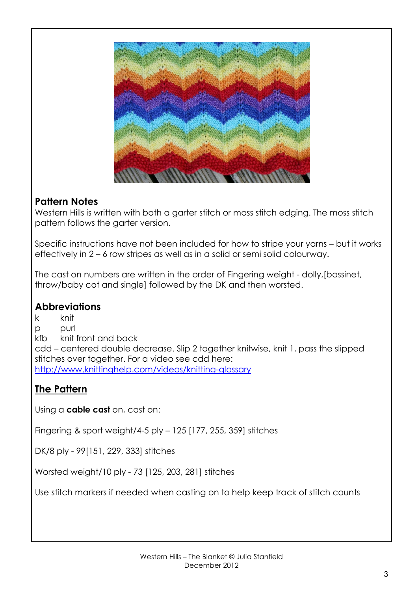

### **Pattern Notes**

Western Hills is written with both a garter stitch or moss stitch edging. The moss stitch pattern follows the garter version.

Specific instructions have not been included for how to stripe your yarns – but it works effectively in 2 – 6 row stripes as well as in a solid or semi solid colourway.

The cast on numbers are written in the order of Fingering weight - dolly,[bassinet, throw/baby cot and single] followed by the DK and then worsted.

## **Abbreviations**

k knit p purl kfb knit front and back cdd – centered double decrease. Slip 2 together knitwise, knit 1, pass the slipped stitches over together. For a video see cdd here: <http://www.knittinghelp.com/videos/knitting-glossary>

## **The Pattern**

Using a **cable cast** on, cast on:

Fingering & sport weight/4-5 ply – 125 [177, 255, 359] stitches

DK/8 ply - 99[151, 229, 333] stitches

Worsted weight/10 ply - 73 [125, 203, 281] stitches

Use stitch markers if needed when casting on to help keep track of stitch counts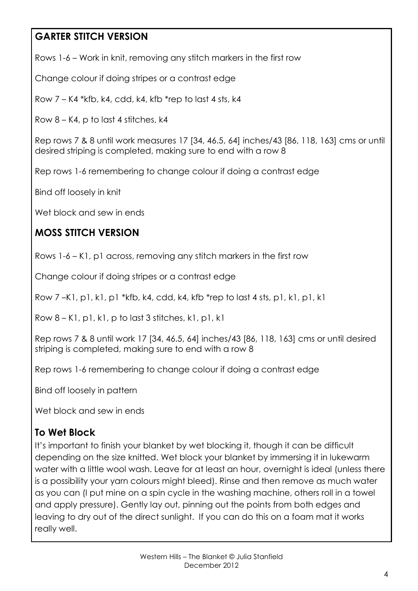# **GARTER STITCH VERSION**

Rows 1-6 – Work in knit, removing any stitch markers in the first row

Change colour if doing stripes or a contrast edge

Row 7 – K4 \*kfb, k4, cdd, k4, kfb \*rep to last 4 sts, k4

Row 8 – K4, p to last 4 stitches, k4

Rep rows 7 & 8 until work measures 17 [34, 46.5, 64] inches/43 [86, 118, 163] cms or until desired striping is completed, making sure to end with a row 8

Rep rows 1-6 remembering to change colour if doing a contrast edge

Bind off loosely in knit

Wet block and sew in ends

# **MOSS STITCH VERSION**

Rows 1-6 – K1, p1 across, removing any stitch markers in the first row

Change colour if doing stripes or a contrast edge

Row 7 –K1, p1, k1, p1 \*kfb, k4, cdd, k4, kfb \*rep to last 4 sts, p1, k1, p1, k1

Row  $8 - K1$ , p1, k1, p to last 3 stitches, k1, p1, k1

Rep rows 7 & 8 until work 17 [34, 46.5, 64] inches/43 [86, 118, 163] cms or until desired striping is completed, making sure to end with a row 8

Rep rows 1-6 remembering to change colour if doing a contrast edge

Bind off loosely in pattern

Wet block and sew in ends

## **To Wet Block**

It's important to finish your blanket by wet blocking it, though it can be difficult depending on the size knitted. Wet block your blanket by immersing it in lukewarm water with a little wool wash. Leave for at least an hour, overnight is ideal (unless there is a possibility your yarn colours might bleed). Rinse and then remove as much water as you can (I put mine on a spin cycle in the washing machine, others roll in a towel and apply pressure). Gently lay out, pinning out the points from both edges and leaving to dry out of the direct sunlight. If you can do this on a foam mat it works really well.